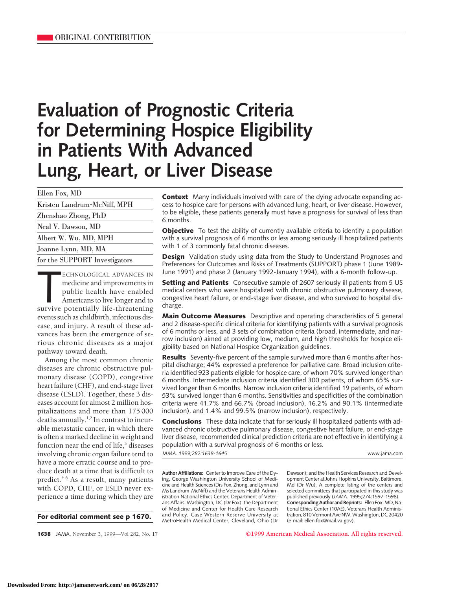# **Evaluation of Prognostic Criteria for Determining Hospice Eligibility in Patients With Advanced Lung, Heart, or Liver Disease**

Ellen Fox, MD

| Kristen Landrum-McNiff, MPH   |
|-------------------------------|
| Zhenshao Zhong, PhD           |
| Neal V. Dawson, MD            |
| Albert W. Wu, MD, MPH         |
| Joanne Lynn, MD, MA           |
| for the SUPPORT Investigators |
|                               |

ECHNOLOGICAL ADVANCES IN<br>
medicine and improvements in<br>
public health have enabled<br>
Americans to live longer and to<br>
survive potentially life-threatening ECHNOLOGICAL ADVANCES IN medicine and improvements in public health have enabled Americans to live longer and to events such as childbirth, infectious disease, and injury. A result of these advances has been the emergence of serious chronic diseases as a major pathway toward death.

Among the most common chronic diseases are chronic obstructive pulmonary disease (COPD), congestive heart failure (CHF), and end-stage liver disease (ESLD). Together, these 3 diseases account for almost 2 million hospitalizations and more than 175 000 deaths annually.<sup>1,2</sup> In contrast to incurable metastatic cancer, in which there is often a marked decline in weight and function near the end of life, $3$  diseases involving chronic organ failure tend to have a more erratic course and to produce death at a time that is difficult to predict.<sup>4-6</sup> As a result, many patients with COPD, CHF, or ESLD never experience a time during which they are

**For editorial comment see p 1670.**

**Context** Many individuals involved with care of the dying advocate expanding access to hospice care for persons with advanced lung, heart, or liver disease. However, to be eligible, these patients generally must have a prognosis for survival of less than 6 months.

**Objective** To test the ability of currently available criteria to identify a population with a survival prognosis of 6 months or less among seriously ill hospitalized patients with 1 of 3 commonly fatal chronic diseases.

**Design** Validation study using data from the Study to Understand Prognoses and Preferences for Outcomes and Risks of Treatments (SUPPORT) phase 1 (June 1989- June 1991) and phase 2 (January 1992-January 1994), with a 6-month follow-up.

**Setting and Patients** Consecutive sample of 2607 seriously ill patients from 5 US medical centers who were hospitalized with chronic obstructive pulmonary disease, congestive heart failure, or end-stage liver disease, and who survived to hospital discharge.

**Main Outcome Measures** Descriptive and operating characteristics of 5 general and 2 disease-specific clinical criteria for identifying patients with a survival prognosis of 6 months or less, and 3 sets of combination criteria (broad, intermediate, and narrow inclusion) aimed at providing low, medium, and high thresholds for hospice eligibility based on National Hospice Organization guidelines.

**Results** Seventy-five percent of the sample survived more than 6 months after hospital discharge; 44% expressed a preference for palliative care. Broad inclusion criteria identified 923 patients eligible for hospice care, of whom 70% survived longer than 6 months. Intermediate inclusion criteria identified 300 patients, of whom 65% survived longer than 6 months. Narrow inclusion criteria identified 19 patients, of whom 53% survived longer than 6 months. Sensitivities and specificities of the combination criteria were 41.7% and 66.7% (broad inclusion), 16.2% and 90.1% (intermediate inclusion), and 1.4% and 99.5% (narrow inclusion), respectively.

**Conclusions** These data indicate that for seriously ill hospitalized patients with advanced chronic obstructive pulmonary disease, congestive heart failure, or end-stage liver disease, recommended clinical prediction criteria are not effective in identifying a population with a survival prognosis of 6 months or less.

*JAMA. 1999;282:1638-1645* www.jama.com

**Author Affiliations:** Center to Improve Care of the Dying, George Washington University School of Medicine and Health Sciences (Drs Fox, Zhong, and Lynn and Ms Landrum-McNiff) and the Veterans Health Administration National Ethics Center, Department of Veterans Affairs, Washington, DC (Dr Fox); the Department of Medicine and Center for Health Care Research and Policy, Case Western Reserve University at MetroHealth Medical Center, Cleveland, Ohio (Dr Dawson); and the Health Services Research and Development Center at Johns Hopkins University, Baltimore, Md (Dr Wu). A complete listing of the centers and selected committees that participated in this study was published previously (*JAMA.* 1995;274:1597-1598). **CorrespondingAuthorandReprints:** EllenFox,MD,National Ethics Center (10AE), Veterans Health Administration, 810 Vermont Ave NW, Washington, DC 20420 (e-mail: ellen.fox@mail.va.gov).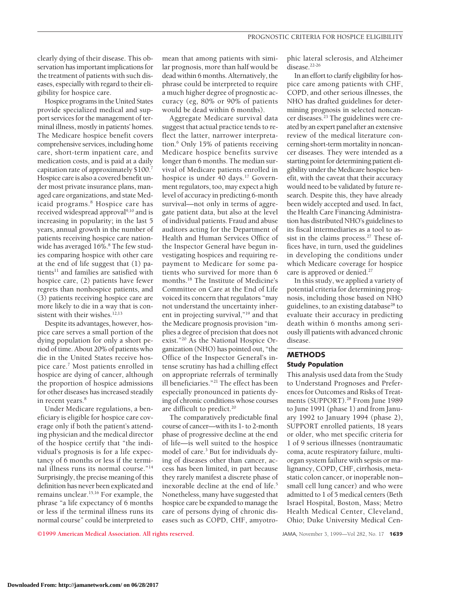clearly dying of their disease. This observation has important implications for the treatment of patients with such diseases, especially with regard to their eligibility for hospice care.

Hospice programs in the United States provide specialized medical and support services for the management of terminal illness, mostly in patients' homes. The Medicare hospice benefit covers comprehensive services, including home care, short-term inpatient care, and medication costs, and is paid at a daily capitation rate of approximately \$100.7 Hospice care is also a covered benefit under most private insurance plans, managed care organizations, and state Medicaid programs.<sup>8</sup> Hospice care has received widespread approval<sup>9,10</sup> and is increasing in popularity; in the last 5 years, annual growth in the number of patients receiving hospice care nationwide has averaged 16%.<sup>8</sup> The few studies comparing hospice with other care at the end of life suggest that (1) patients<sup>11</sup> and families are satisfied with hospice care, (2) patients have fewer regrets than nonhospice patients, and (3) patients receiving hospice care are more likely to die in a way that is consistent with their wishes.<sup>12,13</sup>

Despite its advantages, however, hospice care serves a small portion of the dying population for only a short period of time. About 20% of patients who die in the United States receive hospice care.7 Most patients enrolled in hospice are dying of cancer, although the proportion of hospice admissions for other diseases has increased steadily in recent years.<sup>8</sup>

Under Medicare regulations, a beneficiary is eligible for hospice care coverage only if both the patient's attending physician and the medical director of the hospice certify that "the individual's prognosis is for a life expectancy of 6 months or less if the terminal illness runs its normal course."14 Surprisingly, the precise meaning of this definition has never been explicated and remains unclear.15,16 For example, the phrase "a life expectancy of 6 months or less if the terminal illness runs its normal course" could be interpreted to

mean that among patients with similar prognosis, more than half would be dead within 6 months. Alternatively, the phrase could be interpreted to require a much higher degree of prognostic accuracy (eg, 80% or 90% of patients would be dead within 6 months).

Aggregate Medicare survival data suggest that actual practice tends to reflect the latter, narrower interpretation.6 Only 15% of patients receiving Medicare hospice benefits survive longer than 6 months. The median survival of Medicare patients enrolled in hospice is under 40 days.<sup>17</sup> Government regulators, too, may expect a high level of accuracy in predicting 6-month survival—not only in terms of aggregate patient data, but also at the level of individual patients. Fraud and abuse auditors acting for the Department of Health and Human Services Office of the Inspector General have begun investigating hospices and requiring repayment to Medicare for some patients who survived for more than 6 months.18 The Institute of Medicine's Committee on Care at the End of Life voiced its concern that regulators "may not understand the uncertainty inherent in projecting survival,"19 and that the Medicare prognosis provision "implies a degree of precision that does not exist."20 As the National Hospice Organization (NHO) has pointed out, "the Office of the Inspector General's intense scrutiny has had a chilling effect on appropriate referrals of terminally ill beneficiaries."21 The effect has been especially pronounced in patients dying of chronic conditions whose courses are difficult to predict.<sup>20</sup>

The comparatively predictable final course of cancer—with its 1- to 2-month phase of progressive decline at the end of life—is well suited to the hospice model of care.<sup>3</sup> But for individuals dying of diseases other than cancer, access has been limited, in part because they rarely manifest a discrete phase of inexorable decline at the end of life.<sup>5</sup> Nonetheless, many have suggested that hospice care be expanded to manage the care of persons dying of chronic diseases such as COPD, CHF, amyotro-

phic lateral sclerosis, and Alzheimer disease.<sup>22-26</sup>

In an effort to clarify eligibility for hospice care among patients with CHF, COPD, and other serious illnesses, the NHO has drafted guidelines for determining prognosis in selected noncancer diseases.<sup>23</sup> The guidelines were created by an expert panel after an extensive review of the medical literature concerning short-term mortality in noncancer diseases. They were intended as a starting point for determining patient eligibility under the Medicare hospice benefit, with the caveat that their accuracy would need to be validated by future research. Despite this, they have already been widely accepted and used. In fact, the Health Care Financing Administration has distributed NHO's guidelines to its fiscal intermediaries as a tool to assist in the claims process.<sup>27</sup> These offices have, in turn, used the guidelines in developing the conditions under which Medicare coverage for hospice care is approved or denied.<sup>27</sup>

In this study, we applied a variety of potential criteria for determining prognosis, including those based on NHO guidelines, to an existing database<sup>28</sup> to evaluate their accuracy in predicting death within 6 months among seriously ill patients with advanced chronic disease.

## **METHODS Study Population**

This analysis used data from the Study to Understand Prognoses and Preferences for Outcomes and Risks of Treatments (SUPPORT).<sup>28</sup> From June 1989 to June 1991 (phase 1) and from January 1992 to January 1994 (phase 2), SUPPORT enrolled patients, 18 years or older, who met specific criteria for 1 of 9 serious illnesses (nontraumatic coma, acute respiratory failure, multiorgan system failure with sepsis or malignancy, COPD, CHF, cirrhosis, metastatic colon cancer, or inoperable non– small cell lung cancer) and who were admitted to 1 of 5 medical centers (Beth Israel Hospital, Boston, Mass; Metro Health Medical Center, Cleveland, Ohio; Duke University Medical Cen-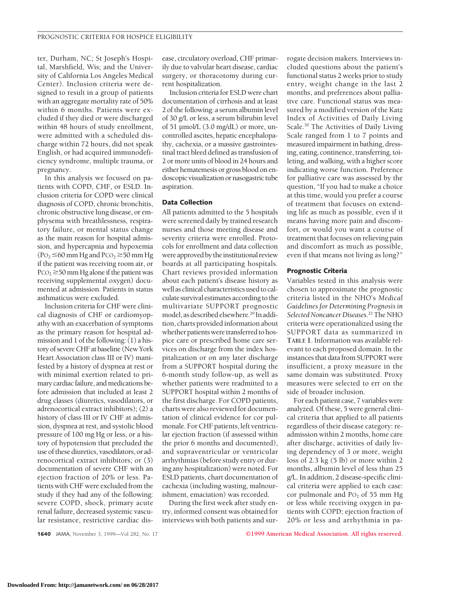ter, Durham, NC; St Joseph's Hospital, Marshfield, Wis; and the University of California Los Angeles Medical Center). Inclusion criteria were designed to result in a group of patients with an aggregate mortality rate of 50% within 6 months. Patients were excluded if they died or were discharged within 48 hours of study enrollment, were admitted with a scheduled discharge within 72 hours, did not speak English, or had acquired immunodeficiency syndrome, multiple trauma, or pregnancy.

In this analysis we focused on patients with COPD, CHF, or ESLD. Inclusion criteria for COPD were clinical diagnosis of COPD, chronic bronchitis, chronic obstructive lung disease, or emphysema with breathlessness, respiratory failure, or mental status change as the main reason for hospital admission, and hypercapnia and hypoxemia  $(PO<sub>2</sub> \le 60$  mm Hg and PCO<sub>2</sub>  $\ge 50$  mm Hg if the patient was receiving room air, or  $PCO<sub>2</sub> \ge 50$  mm Hg alone if the patient was receiving supplemental oxygen) documented at admission. Patients in status asthmaticus were excluded.

Inclusion criteria for CHF were clinical diagnosis of CHF or cardiomyopathy with an exacerbation of symptoms as the primary reason for hospital admission and 1 of the following: (1) a history of severe CHF at baseline (New York Heart Association class III or IV) manifested by a history of dyspnea at rest or with minimal exertion related to primary cardiac failure, and medications before admission that included at least 2 drug classes (diuretics, vasodilators, or adrenocortical extract inhibitors); (2) a history of class III or IV CHF at admission, dyspnea at rest, and systolic blood pressure of 100 mg Hg or less, or a history of hypotension that precluded the use of these diuretics, vasodilators, or adrenocortical extract inhibitors; or (3) documentation of severe CHF with an ejection fraction of 20% or less. Patients with CHF were excluded from the study if they had any of the following: severe COPD, shock, primary acute renal failure, decreased systemic vascular resistance, restrictive cardiac dis-

ease, circulatory overload, CHF primarily due to valvular heart disease, cardiac surgery, or thoracotomy during current hospitalization.

Inclusion criteria for ESLD were chart documentation of cirrhosis and at least 2 of the following: a serum albumin level of 30 g/L or less, a serum bilirubin level of 51 µmol/L (3.0 mg/dL) or more, uncontrolled ascites, hepatic encephalopathy, cachexia, or a massive gastrointestinal tract bleed defined as transfusion of 2 or more units of blood in 24 hours and either hematemesis or gross blood on endoscopic visualization or nasogastric tube aspiration.

#### **Data Collection**

All patients admitted to the 5 hospitals were screened daily by trained research nurses and those meeting disease and severity criteria were enrolled. Protocols for enrollment and data collection were approved by the institutional review boards at all participating hospitals. Chart reviews provided information about each patient's disease history as well as clinical characteristics used to calculate survival estimates according to the multivariate SUPPORT prognostic model, as described elsewhere.<sup>29</sup> In addition, charts provided information about whether patients were transferred to hospice care or prescribed home care services on discharge from the index hospitalization or on any later discharge from a SUPPORT hospital during the 6-month study follow-up, as well as whether patients were readmitted to a SUPPORT hospital within 2 months of the first discharge. For COPD patients, charts were also reviewed for documentation of clinical evidence for cor pulmonale. For CHF patients, left ventricular ejection fraction (if assessed within the prior 6 months and documented), and supraventricular or ventricular arrhythmias (before study entry or during any hospitalization) were noted. For ESLD patients, chart documentation of cachexia (including wasting, malnourishment, emaciation) was recorded.

During the first week after study entry, informed consent was obtained for interviews with both patients and sur-

rogate decision makers. Interviews included questions about the patient's functional status 2 weeks prior to study entry, weight change in the last 2 months, and preferences about palliative care. Functional status was measured by a modified version of the Katz Index of Activities of Daily Living Scale.30 The Activities of Daily Living Scale ranged from 1 to 7 points and measured impairment in bathing, dressing, eating, continence, transferring, toileting, and walking, with a higher score indicating worse function. Preference for palliative care was assessed by the question, "If you had to make a choice at this time, would you prefer a course of treatment that focuses on extending life as much as possible, even if it means having more pain and discomfort, or would you want a course of treatment that focuses on relieving pain and discomfort as much as possible, even if that means not living as long?"

#### **Prognostic Criteria**

Variables tested in this analysis were chosen to approximate the prognostic criteria listed in the NHO's *Medical Guidelines for Determining Prognosis in Selected Noncancer Diseases*. <sup>23</sup> The NHO criteria were operationalized using the SUPPORT data as summarized in **TABLE 1**. Information was available relevant to each proposed domain. In the instances that data from SUPPORT were insufficient, a proxy measure in the same domain was substituted. Proxy measures were selected to err on the side of broader inclusion.

For each patient case, 7 variables were analyzed. Of these, 5 were general clinical criteria that applied to all patients regardless of their disease category: readmission within 2 months, home care after discharge, activities of daily living dependency of 3 or more, weight loss of 2.3 kg (5 lb) or more within 2 months, albumin level of less than 25 g/L. In addition, 2 disease-specific clinical criteria were applied to each case: cor pulmonale and  $PO<sub>2</sub>$  of 55 mm Hg or less while receiving oxygen in patients with COPD; ejection fraction of 20% or less and arrhythmia in pa-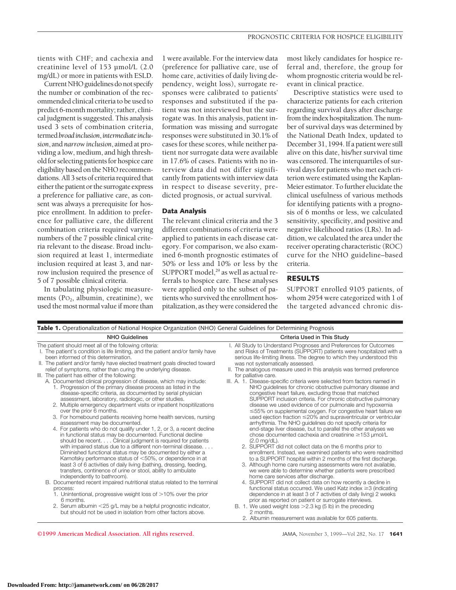tients with CHF; and cachexia and creatinine level of 153 µmol/L (2.0 mg/dL) or more in patients with ESLD.

Current NHO guidelines do not specify the number or combination of the recommended clinical criteria to be used to predict 6-month mortality; rather, clinical judgment is suggested. This analysis used 3 sets of combination criteria, termed*broadinclusion*,*intermediateinclusion*, and *narrow inclusion*, aimed at providing a low, medium, and high threshold for selecting patients for hospice care eligibility based on the NHO recommendations. All 3 sets of criteria required that either the patient or the surrogate express a preference for palliative care, as consent was always a prerequisite for hospice enrollment. In addition to preference for palliative care, the different combination criteria required varying numbers of the 7 possible clinical criteria relevant to the disease. Broad inclusion required at least 1, intermediate inclusion required at least 3, and narrow inclusion required the presence of 5 of 7 possible clinical criteria.

In tabulating physiologic measurements  $(PO<sub>2</sub>, albumin, creationine)$ , we used the most normal value if more than

1 were available. For the interview data (preference for palliative care, use of home care, activities of daily living dependency, weight loss), surrogate responses were calibrated to patients' responses and substituted if the patient was not interviewed but the surrogate was. In this analysis, patient information was missing and surrogate responses were substituted in 30.1% of cases for these scores, while neither patient nor surrogate data were available in 17.6% of cases. Patients with no interview data did not differ significantly from patients with interview data in respect to disease severity, predicted prognosis, or actual survival.

#### **Data Analysis**

The relevant clinical criteria and the 3 different combinations of criteria were applied to patients in each disease category. For comparison, we also examined 6-month prognostic estimates of 50% or less and 10% or less by the SUPPORT model,<sup>29</sup> as well as actual referrals to hospice care. These analyses were applied only to the subset of patients who survived the enrollment hospitalization, as they were considered the

most likely candidates for hospice referral and, therefore, the group for whom prognostic criteria would be relevant in clinical practice.

Descriptive statistics were used to characterize patients for each criterion regarding survival days after discharge from the index hospitalization. The number of survival days was determined by the National Death Index, updated to December 31, 1994. If a patient were still alive on this date, his/her survival time was censored. The interquartiles of survival days for patients who met each criterion were estimated using the Kaplan-Meier estimator. To further elucidate the clinical usefulness of various methods for identifying patients with a prognosis of 6 months or less, we calculated sensitivity, specificity, and positive and negative likelihood ratios (LRs). In addition, we calculated the area under the receiver operating characteristic (ROC) curve for the NHO guideline–based criteria.

# **RESULTS**

SUPPORT enrolled 9105 patients, of whom 2954 were categorized with 1 of the targeted advanced chronic dis-

| Table 1. Operationalization of National Hospice Organization (NHO) General Guidelines for Determining Prognosis                                                                                                                                                                                                                                                                                                                                                                                                                                                                                                                                                                                                                                                                                                                                                                                                                                                                                                                                                                                                                                                                                                                                                                                                                                                                                                                         |                                                                                                                                                                                                                                                                                                                                                                                                                                                                                                                                                                                                                                                                                                                                                                                                                                                                                                                                                                                                                                                                                                                                                                                                                                                                                                                                                                                                                                       |  |  |  |  |
|-----------------------------------------------------------------------------------------------------------------------------------------------------------------------------------------------------------------------------------------------------------------------------------------------------------------------------------------------------------------------------------------------------------------------------------------------------------------------------------------------------------------------------------------------------------------------------------------------------------------------------------------------------------------------------------------------------------------------------------------------------------------------------------------------------------------------------------------------------------------------------------------------------------------------------------------------------------------------------------------------------------------------------------------------------------------------------------------------------------------------------------------------------------------------------------------------------------------------------------------------------------------------------------------------------------------------------------------------------------------------------------------------------------------------------------------|---------------------------------------------------------------------------------------------------------------------------------------------------------------------------------------------------------------------------------------------------------------------------------------------------------------------------------------------------------------------------------------------------------------------------------------------------------------------------------------------------------------------------------------------------------------------------------------------------------------------------------------------------------------------------------------------------------------------------------------------------------------------------------------------------------------------------------------------------------------------------------------------------------------------------------------------------------------------------------------------------------------------------------------------------------------------------------------------------------------------------------------------------------------------------------------------------------------------------------------------------------------------------------------------------------------------------------------------------------------------------------------------------------------------------------------|--|--|--|--|
| <b>NHO Guidelines</b>                                                                                                                                                                                                                                                                                                                                                                                                                                                                                                                                                                                                                                                                                                                                                                                                                                                                                                                                                                                                                                                                                                                                                                                                                                                                                                                                                                                                                   | Criteria Used in This Study                                                                                                                                                                                                                                                                                                                                                                                                                                                                                                                                                                                                                                                                                                                                                                                                                                                                                                                                                                                                                                                                                                                                                                                                                                                                                                                                                                                                           |  |  |  |  |
| The patient should meet all of the following criteria:<br>I. The patient's condition is life limiting, and the patient and/or family have<br>been informed of this determination.<br>II. The patient and/or family have elected treatment goals directed toward<br>relief of symptoms, rather than curing the underlying disease.<br>III. The patient has either of the following:<br>A. Documented clinical progression of disease, which may include:<br>1. Progression of the primary disease process as listed in the<br>disease-specific criteria, as documented by serial physician<br>assessment, laboratory, radiologic, or other studies.<br>2. Multiple emergency department visits or inpatient hospitilizations<br>over the prior 6 months.<br>3. For homebound patients receiving home health services, nursing<br>assessment may be documented.<br>4. For patients who do not qualify under 1, 2, or 3, a recent decline<br>in functional status may be documented. Functional decline<br>should be recent. Clinical judgment is required for patients<br>with impaired status due to a different non-terminal disease.<br>Diminished functional status may be documented by either a<br>Karnofsky performance status of <50%, or dependence in at<br>least 3 of 6 activities of daily living (bathing, dressing, feeding,<br>transfers, continence of urine or stool, ability to ambulate<br>independently to bathroom). | I. All Study to Understand Prognoses and Preferences for Outcomes<br>and Risks of Treatments (SUPPORT) patients were hospitalized with a<br>serious life-limiting illness. The degree to which they understood this<br>was not systematically assessed.<br>II. The analogous measure used in this analysis was termed preference<br>for palliative care.<br>III. A. 1. Disease-specific criteria were selected from factors named in<br>NHO guidelines for chronic obstructive pulmonary disease and<br>congestive heart failure, excluding those that matched<br>SUPPORT inclusion criteria. For chronic obstructive pulmonary<br>disease we used evidence of cor pulmonale and hypoxemia<br>$\leq$ 55% on supplemental oxygen. For congestive heart failure we<br>used ejection fraction $\leq$ 20% and supraventricular or ventricular<br>arrhythmia. The NHO guidelines do not specify criteria for<br>end-stage liver disease, but to parallel the other analyses we<br>chose documented cachexia and creatinine $\geq$ 153 µmol/L<br>$(2.0 \text{ mg/dL}).$<br>2. SUPPORT did not collect data on the 6 months prior to<br>enrollment. Instead, we examined patients who were readmitted<br>to a SUPPORT hospital within 2 months of the first discharge.<br>3. Although home care nursing assessments were not available,<br>we were able to determine whether patients were prescribed<br>home care services after discharge. |  |  |  |  |
| B. Documented recent impaired nutritional status related to the terminal<br>process:<br>1. Unintentional, progressive weight loss of $>10\%$ over the prior<br>6 months.<br>2. Serum albumin <25 g/L may be a helpful prognostic indicator,<br>but should not be used in isolation from other factors above.                                                                                                                                                                                                                                                                                                                                                                                                                                                                                                                                                                                                                                                                                                                                                                                                                                                                                                                                                                                                                                                                                                                            | 4. SUPPORT did not collect data on how recently a decline in<br>functional status occurred. We used Katz index $\geq$ 3 (indicating<br>dependence in at least 3 of 7 activities of daily living) 2 weeks<br>prior as reported on patient or surrogate interviews.<br>B. 1. We used weight loss $>2.3$ kg (5 lb) in the preceding<br>2 months.<br>2. Albumin measurement was available for 605 patients.                                                                                                                                                                                                                                                                                                                                                                                                                                                                                                                                                                                                                                                                                                                                                                                                                                                                                                                                                                                                                               |  |  |  |  |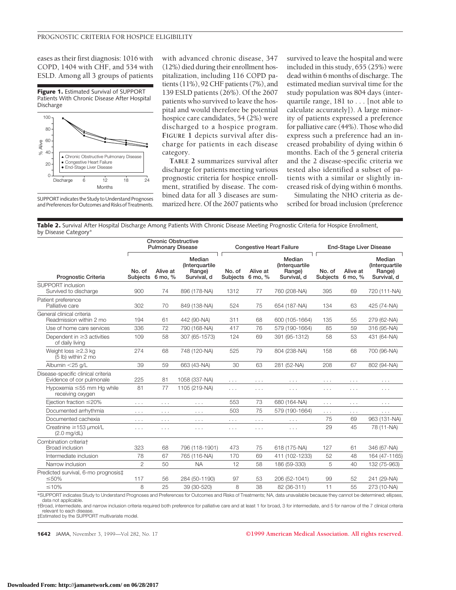eases as their first diagnosis: 1016 with COPD, 1404 with CHF, and 534 with ESLD. Among all 3 groups of patients

**Figure 1.** Estimated Survival of SUPPORT Patients With Chronic Disease After Hospital Discharge



SUPPORT indicates the Study to Understand Prognoses and Preferences for Outcomes and Risks of Treatments.

with advanced chronic disease, 347 (12%) died during their enrollment hospitalization, including 116 COPD patients (11%), 92 CHF patients (7%), and 139 ESLD patients (26%). Of the 2607 patients who survived to leave the hospital and would therefore be potential hospice care candidates, 54 (2%) were discharged to a hospice program. **FIGURE 1** depicts survival after discharge for patients in each disease category.

**TABLE 2** summarizes survival after discharge for patients meeting various prognostic criteria for hospice enrollment, stratified by disease. The combined data for all 3 diseases are summarized here. Of the 2607 patients who survived to leave the hospital and were included in this study, 655 (25%) were dead within 6 months of discharge. The estimated median survival time for the study population was 804 days (interquartile range, 181 to... [not able to calculate accurately]). A large minority of patients expressed a preference for palliative care (44%). Those who did express such a preference had an increased probability of dying within 6 months. Each of the 5 general criteria and the 2 disease-specific criteria we tested also identified a subset of patients with a similar or slightly increased risk of dying within 6 months.

Simulating the NHO criteria as described for broad inclusion (preference

**Table 2.** Survival After Hospital Discharge Among Patients With Chronic Disease Meeting Prognostic Criteria for Hospice Enrollment, by Disease Category\*

|                                                                                                                                                                          | <b>Chronic Obstructive</b><br><b>Pulmonary Disease</b> |                      | <b>Congestive Heart Failure</b>                   |                           | <b>End-Stage Liver Disease</b> |                                                   |                           |                      |                                                   |
|--------------------------------------------------------------------------------------------------------------------------------------------------------------------------|--------------------------------------------------------|----------------------|---------------------------------------------------|---------------------------|--------------------------------|---------------------------------------------------|---------------------------|----------------------|---------------------------------------------------|
| <b>Prognostic Criteria</b>                                                                                                                                               | No. of<br><b>Subjects</b>                              | Alive at<br>6 mo, %  | Median<br>(Interguartile<br>Range)<br>Survival, d | No. of<br><b>Subjects</b> | Alive at<br>6 mo, %            | Median<br>(Interguartile<br>Range)<br>Survival, d | No. of<br><b>Subjects</b> | Alive at<br>6 mo, %  | Median<br>(Interquartile<br>Range)<br>Survival, d |
| <b>SUPPORT</b> inclusion<br>Survived to discharge                                                                                                                        | 900                                                    | 74                   | 896 (178-NA)                                      | 1312                      | 77                             | 760 (208-NA)                                      | 395                       | 69                   | 720 (111-NA)                                      |
| Patient preference<br>Palliative care                                                                                                                                    | 302                                                    | 70                   | 849 (138-NA)                                      | 524                       | 75                             | 654 (187-NA)                                      | 134                       | 63                   | 425 (74-NA)                                       |
| General clinical criteria<br>Readmission within 2 mo                                                                                                                     | 194                                                    | 61                   | 442 (90-NA)                                       | 311                       | 68                             | 600 (105-1664)                                    | 135                       | 55                   | 279 (62-NA)                                       |
| Use of home care services                                                                                                                                                | 336                                                    | 72                   | 790 (168-NA)                                      | 417                       | 76                             | 579 (190-1664)                                    | 85                        | 59                   | 316 (95-NA)                                       |
| Dependent in $\geq$ 3 activities<br>of daily living                                                                                                                      | 109                                                    | 58                   | 307 (65-1573)                                     | 124                       | 69                             | 391 (95-1312)                                     | 58                        | 53                   | 431 (64-NA)                                       |
| Weight loss $\geq$ 2.3 kg<br>(5 lb) within 2 mo                                                                                                                          | 274                                                    | 68                   | 748 (120-NA)                                      | 525                       | 79                             | 804 (238-NA)                                      | 158                       | 68                   | 700 (96-NA)                                       |
| Albumin <25 g/L                                                                                                                                                          | 39                                                     | 59                   | 663 (43-NA)                                       | 30                        | 63                             | 281 (52-NA)                                       | 208                       | 67                   | 802 (94-NA)                                       |
| Disease-specific clinical criteria<br>Evidence of cor pulmonale                                                                                                          | 225                                                    | 81                   | 1058 (337-NA)                                     | $\cdots$                  | $\cdots$                       | $\cdots$                                          | $\cdots$                  | $\cdots$             | .                                                 |
| Hypoxemia ≤55 mm Hg while<br>receiving oxygen                                                                                                                            | 81                                                     | 77                   | 1105 (219-NA)                                     | $\cdots$                  | .                              | .                                                 | .                         | .                    | $\cdots$                                          |
| Ejection fraction $\leq$ 20%                                                                                                                                             | $\cdots$                                               | $\sim$ $\sim$ $\sim$ | $\sim$ $\sim$ $\sim$                              | 553                       | 73                             | 680 (164-NA)                                      | $\cdots$                  | $\sim$ $\sim$ $\sim$ | $\cdots$                                          |
| Documented arrhythmia                                                                                                                                                    | $\cdots$                                               | $\cdots$             | .                                                 | 503                       | 75                             | 579 (190-1664)                                    | $\cdots$                  | $\cdots$             | .                                                 |
| Documented cachexia                                                                                                                                                      | $\cdots$                                               | $\cdots$             | $\cdots$                                          | $\cdots$                  | $\cdots$                       | $\cdots$                                          | 75                        | 69                   | 963 (131-NA)                                      |
| Creatinine ≥153 µmol/L<br>$(2.0 \text{ mg/dL})$                                                                                                                          | .                                                      | $\sim$ $\sim$ $\sim$ | $\cdots$                                          | $\cdots$                  | $\cdots$                       | $\cdots$                                          | 29                        | 45                   | 78 (11-NA)                                        |
| Combination criteriat<br><b>Broad inclusion</b>                                                                                                                          | 323                                                    | 68                   | 796 (118-1901)                                    | 473                       | 75                             | 618 (175-NA)                                      | 127                       | 61                   | 346 (67-NA)                                       |
| Intermediate inclusion                                                                                                                                                   | 78                                                     | 67                   | 765 (116-NA)                                      | 170                       | 69                             | 411 (102-1233)                                    | 52                        | 48                   | 164 (47-1165)                                     |
| Narrow inclusion                                                                                                                                                         | $\overline{2}$                                         | 50                   | <b>NA</b>                                         | 12                        | 58                             | 186 (59-330)                                      | 5                         | 40                   | 132 (75-963)                                      |
| Predicted survival, 6-mo prognosis‡<br>$\leq 50\%$                                                                                                                       | 117                                                    | 56                   | 284 (50-1190)                                     | 97                        | 53                             | 206 (52-1041)                                     | 99                        | 52                   | 241 (29-NA)                                       |
| $\leq 10\%$                                                                                                                                                              | 8                                                      | 25                   | 39 (30-520)                                       | 8                         | 38                             | 82 (36-311)                                       | 11                        | 55                   | 273 (10-NA)                                       |
| *SUPPORT indicates Study to Understand Prognoses and Preferences for Outcomes and Risks of Treatments; NA, data unavailable because they cannot be determined; ellipses, |                                                        |                      |                                                   |                           |                                |                                                   |                           |                      |                                                   |

data not applicable. †Broad, intermediate, and narrow inclusion criteria required both preference for palliative care and at least 1 for broad, 3 for intermediate, and 5 for narrow of the 7 clinical criteria

relevant to each disease. ‡Estimated by the SUPPORT multivariate model.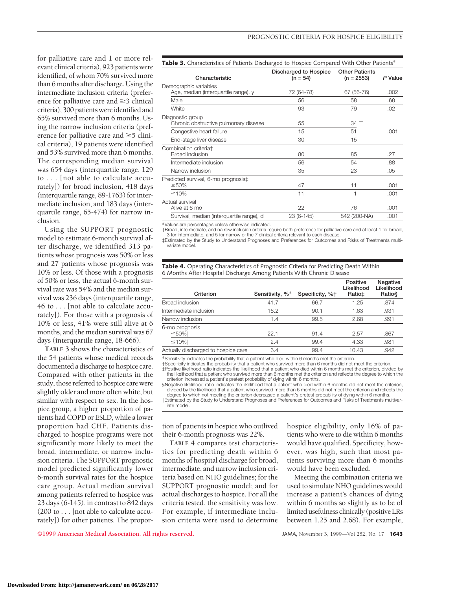for palliative care and 1 or more relevant clinical criteria), 923 patients were identified, of whom 70% survived more than 6 months after discharge. Using the intermediate inclusion criteria (preference for palliative care and  $\geq$ 3 clinical criteria), 300 patients were identified and 65% survived more than 6 months. Using the narrow inclusion criteria (preference for palliative care and  $\geq$ 5 clinical criteria), 19 patients were identified and 53% survived more than 6 months. The corresponding median survival was 654 days (interquartile range, 129 to . . . [not able to calculate accurately]) for broad inclusion, 418 days (interquartile range, 89-1763) for intermediate inclusion, and 183 days (interquartile range, 65-474) for narrow inclusion.

Using the SUPPORT prognostic model to estimate 6-month survival after discharge, we identified 313 patients whose prognosis was 50% or less and 27 patients whose prognosis was 10% or less. Of those with a prognosis of 50% or less, the actual 6-month survival rate was 54% and the median survival was 236 days (interquartile range, 46 to . . . [not able to calculate accurately]). For those with a prognosis of 10% or less, 41% were still alive at 6 months, and the median survival was 67 days (interquartile range, 18-666).

**TABLE 3** shows the characteristics of the 54 patients whose medical records documented a discharge to hospice care. Compared with other patients in the study, those referred to hospice care were slightly older and more often white, but similar with respect to sex. In the hospice group, a higher proportion of patients had COPD or ESLD, while a lower proportion had CHF. Patients discharged to hospice programs were not significantly more likely to meet the broad, intermediate, or narrow inclusion criteria. The SUPPORT prognostic model predicted significantly lower 6-month survival rates for the hospice care group. Actual median survival among patients referred to hospice was 23 days (6-145), in contrast to 842 days (200 to... [not able to calculate accurately]) for other patients. The propor-

| <b>Table 3.</b> Characteristics of Patients Discharged to Hospice Compared With Other Patients <sup>*</sup> |                                     |                                       |         |  |  |
|-------------------------------------------------------------------------------------------------------------|-------------------------------------|---------------------------------------|---------|--|--|
| Characteristic                                                                                              | Discharged to Hospice<br>$(n = 54)$ | <b>Other Patients</b><br>$(n = 2553)$ | P Value |  |  |
| Demographic variables<br>Age, median (interquartile range), y                                               | 72 (64-78)                          | 67 (56-76)                            | .002    |  |  |
| Male                                                                                                        | 56                                  | 58                                    | .68     |  |  |
| White                                                                                                       | 93                                  | 79                                    | .02     |  |  |
| Diagnostic group<br>Chronic obstructive pulmonary disease                                                   | 55                                  | 34                                    |         |  |  |
| Congestive heart failure                                                                                    | 15                                  | 51                                    | .001    |  |  |
| End-stage liver disease                                                                                     | 30                                  | $15 -$                                |         |  |  |
| Combination criteriat<br>Broad inclusion                                                                    | 80                                  | 85                                    | .27     |  |  |
| Intermediate inclusion                                                                                      | 56                                  | 54                                    | .88     |  |  |
| Narrow inclusion                                                                                            | 35                                  | 23                                    | .05     |  |  |
| Predicted survival, 6-mo prognosis‡<br>$\leq 50\%$                                                          | 47                                  | 11                                    | .001    |  |  |
| ≤10%                                                                                                        | 11                                  | 1                                     | .001    |  |  |
| Actual survival<br>Alive at 6 mo                                                                            | 22                                  | 76                                    | .001    |  |  |
| Survival, median (interquartile range), d                                                                   | 23 (6-145)                          | 842 (200-NA)                          | .001    |  |  |

\*Values are percentages unless otherwise indicated.

†Broad, intermediate, and narrow inclusion criteria require both preference for palliative care and at least 1 for broad, 3 for intermediate, and 5 for narrow of the 7 clinical criteria relevant to each disease. ‡Estimated by the Study to Understand Prognoses and Preferences for Outcomes and Risks of Treatments multi-

variate model.

|  |                                                                       | <b>Table 4.</b> Operating Characteristics of Prognostic Criteria for Predicting Death Within |  |
|--|-----------------------------------------------------------------------|----------------------------------------------------------------------------------------------|--|
|  | 6 Months After Hospital Discharge Among Patients With Chronic Disease |                                                                                              |  |

| Criterion                           | Sensitivity, %* | Specificity, %+ | Positive<br>Likelihood<br>Ratio‡ | <b>Negative</b><br>Likelihood<br>Ratio§ |
|-------------------------------------|-----------------|-----------------|----------------------------------|-----------------------------------------|
| Broad inclusion                     | 41.7            | 66.7            | 1.25                             | .874                                    |
| Intermediate inclusion              | 16.2            | 90.1            | 1.63                             | .931                                    |
| Narrow inclusion                    | 1.4             | 99.5            | 2.68                             | .991                                    |
| 6-mo prognosis<br>$\leq 50\%$       | 22.1            | 91.4            | 2.57                             | .867                                    |
| $\leq 10\%$                         | 2.4             | 99.4            | 4.33                             | .981                                    |
| Actually discharged to hospice care | 6.4             | 99.4            | 10.43                            | .942                                    |

\*Sensitivity indicates the probability that a patient who died within 6 months met the criterion.

†Specificity indicates the probability that a patient who survived more than 6 months did not meet the criterion.

‡Positive likelihood ratio indicates the likelihood that a patient who died within 6 months met the criterion, divided by the likelihood that a patient who survived more than 6 months met the criterion and reflects the degree to which the criterion increased a patient's pretest probability of dying within 6 months.

§Negative likelihood ratio indicates the likelihood that a patient who died within 6 months did not meet the criterion, divided by the likelihood that a patient who survived more than 6 months did not meet the criterion and reflects the degree to which not meeting the criterion decreased a patient's pretest probability of dying within 6 months.

\Estimated by the Study to Understand Prognoses and Preferences for Outcomes and Risks of Treatments multivariate model.

tion of patients in hospice who outlived their 6-month prognosis was 22%.

**TABLE 4** compares test characteristics for predicting death within 6 months of hospital discharge for broad, intermediate, and narrow inclusion criteria based on NHO guidelines; for the SUPPORT prognostic model; and for actual discharges to hospice. For all the criteria tested, the sensitivity was low. For example, if intermediate inclusion criteria were used to determine

hospice eligibility, only 16% of patients who were to die within 6 months would have qualified. Specificity, however, was high, such that most patients surviving more than 6 months would have been excluded.

Meeting the combination criteria we used to simulate NHO guidelines would increase a patient's chances of dying within 6 months so slightly as to be of limited usefulness clinically (positive LRs between 1.25 and 2.68). For example,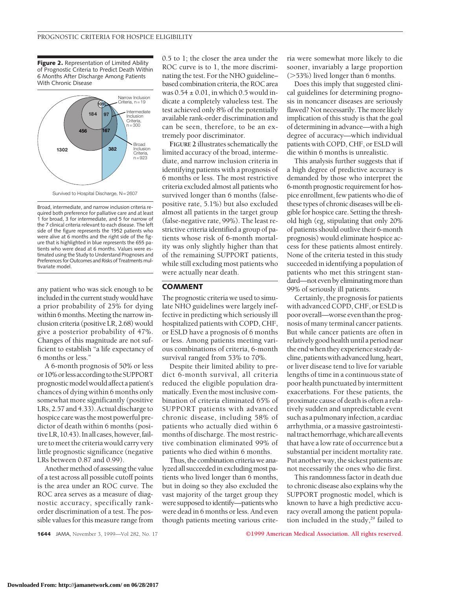**Figure 2.** Representation of Limited Ability of Prognostic Criteria to Predict Death Within 6 Months After Discharge Among Patients With Chronic Disease



Broad, intermediate, and narrow inclusion criteria required both preference for palliative care and at least 1 for broad, 3 for intermediate, and 5 for narrow of the 7 clinical criteria relevant to each disease. The left side of the figure represents the 1952 patients who were alive at 6 months and the right side of the figure that is highlighted in blue represents the 655 patients who were dead at 6 months. Values were estimated using the Study to Understand Prognoses and Preferences for Outcomes and Risks of Treatments multivariate model.

any patient who was sick enough to be included in the current study would have a prior probability of 25% for dying within 6 months. Meeting the narrow inclusion criteria (positive LR, 2.68) would give a posterior probability of 47%. Changes of this magnitude are not sufficient to establish "a life expectancy of 6 months or less."

A 6-month prognosis of 50% or less or 10% or less according to the SUPPORT prognosticmodelwouldaffectapatient's chances of dying within 6 months only somewhat more significantly (positive LRs, 2.57 and 4.33). Actual discharge to hospice care was the most powerful predictor of death within 6 months (positive LR, 10.43). In all cases, however, failure to meet the criteria would carry very little prognostic significance (negative LRs between 0.87 and 0.99).

Another method of assessing the value of a test across all possible cutoff points is the area under an ROC curve. The ROC area serves as a measure of diagnostic accuracy, specifically rankorder discrimination of a test. The possible values for this measure range from 0.5 to 1; the closer the area under the ROC curve is to 1, the more discriminating the test. For the NHO guideline– based combination criteria, the ROC area was  $0.54 \pm 0.01$ , in which 0.5 would indicate a completely valueless test. The test achieved only 8% of the potentially available rank-order discrimination and can be seen, therefore, to be an extremely poor discriminator.

**FIGURE 2** illustrates schematically the limited accuracy of the broad, intermediate, and narrow inclusion criteria in identifying patients with a prognosis of 6 months or less. The most restrictive criteria excluded almost all patients who survived longer than 6 months (falsepositive rate, 5.1%) but also excluded almost all patients in the target group (false-negative rate, 99%). The least restrictive criteria identified a group of patients whose risk of 6-month mortality was only slightly higher than that of the remaining SUPPORT patients, while still excluding most patients who were actually near death.

### **COMMENT**

The prognostic criteria we used to simulate NHO guidelines were largely ineffective in predicting which seriously ill hospitalized patients with COPD, CHF, or ESLD have a prognosis of 6 months or less. Among patients meeting various combinations of criteria, 6-month survival ranged from 53% to 70%.

Despite their limited ability to predict 6-month survival, all criteria reduced the eligible population dramatically. Even the most inclusive combination of criteria eliminated 65% of SUPPORT patients with advanced chronic disease, including 58% of patients who actually died within 6 months of discharge. The most restrictive combination eliminated 99% of patients who died within 6 months.

Thus, the combination criteria we analyzed all succeeded in excluding most patients who lived longer than 6 months, but in doing so they also excluded the vast majority of the target group they were supposed to identify—patients who were dead in 6 months or less. And even though patients meeting various criteria were somewhat more likely to die sooner, invariably a large proportion  $($ >53%) lived longer than 6 months.

Does this imply that suggested clinical guidelines for determining prognosis in noncancer diseases are seriously flawed? Not necessarily. The more likely implication of this study is that the goal of determining in advance—with a high degree of accuracy—which individual patients with COPD, CHF, or ESLD will die within 6 months is unrealistic.

This analysis further suggests that if a high degree of predictive accuracy is demanded by those who interpret the 6-month prognostic requirement for hospice enrollment, few patients who die of these types of chronic diseases will be eligible for hospice care. Setting the threshold high (eg, stipulating that only 20% of patients should outlive their 6-month prognosis) would eliminate hospice access for these patients almost entirely. None of the criteria tested in this study succeeded in identifying a population of patients who met this stringent standard—not even by eliminating more than 99% of seriously ill patients.

Certainly, the prognosis for patients with advanced COPD, CHF, or ESLD is poor overall—worse even than the prognosis of many terminal cancer patients. But while cancer patients are often in relatively good health until a period near the end when they experience steady decline, patients with advanced lung, heart, or liver disease tend to live for variable lengths of time in a continuous state of poor health punctuated by intermittent exacerbations. For these patients, the proximate cause of death is often a relatively sudden and unpredictable event such as a pulmonary infection, a cardiac arrhythmia, or a massive gastrointestinaltracthemorrhage,whichareallevents that have a low rate of occurrence but a substantial per incident mortality rate. Put another way, the sickest patients are not necessarily the ones who die first.

This randomness factor in death due to chronic disease also explains why the SUPPORT prognostic model, which is known to have a high predictive accuracy overall among the patient population included in the study,<sup>29</sup> failed to